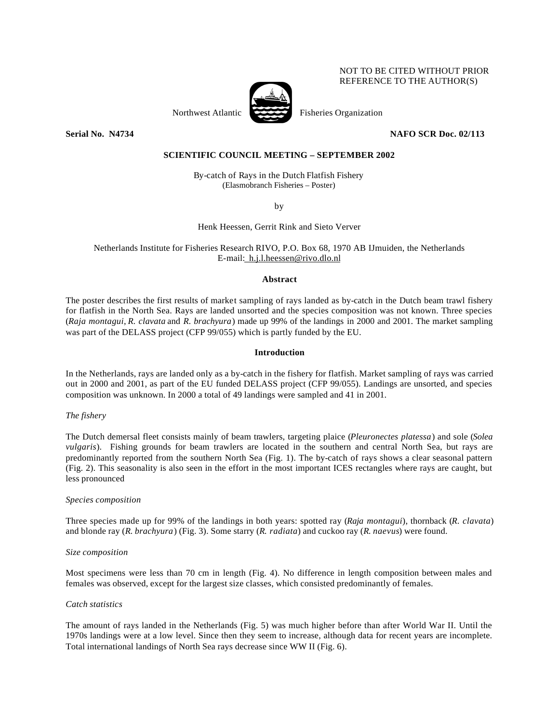### NOT TO BE CITED WITHOUT PRIOR REFERENCE TO THE AUTHOR(S)



Northwest Atlantic Fisheries Organization

**Serial No. 14734** NAFO SCR Doc. 02/113

## **SCIENTIFIC COUNCIL MEETING – SEPTEMBER 2002**

By-catch of Rays in the Dutch Flatfish Fishery (Elasmobranch Fisheries – Poster)

by

## Henk Heessen, Gerrit Rink and Sieto Verver

## Netherlands Institute for Fisheries Research RIVO, P.O. Box 68, 1970 AB IJmuiden, the Netherlands E-mail: h.j.l.heessen@rivo.dlo.nl

#### **Abstract**

The poster describes the first results of market sampling of rays landed as by-catch in the Dutch beam trawl fishery for flatfish in the North Sea. Rays are landed unsorted and the species composition was not known. Three species (*Raja montagui*, *R. clavata* and *R. brachyura*) made up 99% of the landings in 2000 and 2001. The market sampling was part of the DELASS project (CFP 99/055) which is partly funded by the EU.

#### **Introduction**

In the Netherlands, rays are landed only as a by-catch in the fishery for flatfish. Market sampling of rays was carried out in 2000 and 2001, as part of the EU funded DELASS project (CFP 99/055). Landings are unsorted, and species composition was unknown. In 2000 a total of 49 landings were sampled and 41 in 2001.

#### *The fishery*

The Dutch demersal fleet consists mainly of beam trawlers, targeting plaice (*Pleuronectes platessa*) and sole (*Solea vulgaris*). Fishing grounds for beam trawlers are located in the southern and central North Sea, but rays are predominantly reported from the southern North Sea (Fig. 1). The by-catch of rays shows a clear seasonal pattern (Fig. 2). This seasonality is also seen in the effort in the most important ICES rectangles where rays are caught, but less pronounced

#### *Species composition*

Three species made up for 99% of the landings in both years: spotted ray (*Raja montagui*), thornback (*R*. *clavata*) and blonde ray (*R. brachyura*) (Fig. 3). Some starry (*R. radiata*) and cuckoo ray (*R. naevus*) were found.

#### *Size composition*

Most specimens were less than 70 cm in length (Fig. 4). No difference in length composition between males and females was observed, except for the largest size classes, which consisted predominantly of females.

#### *Catch statistics*

The amount of rays landed in the Netherlands (Fig. 5) was much higher before than after World War II. Until the 1970s landings were at a low level. Since then they seem to increase, although data for recent years are incomplete. Total international landings of North Sea rays decrease since WW II (Fig. 6).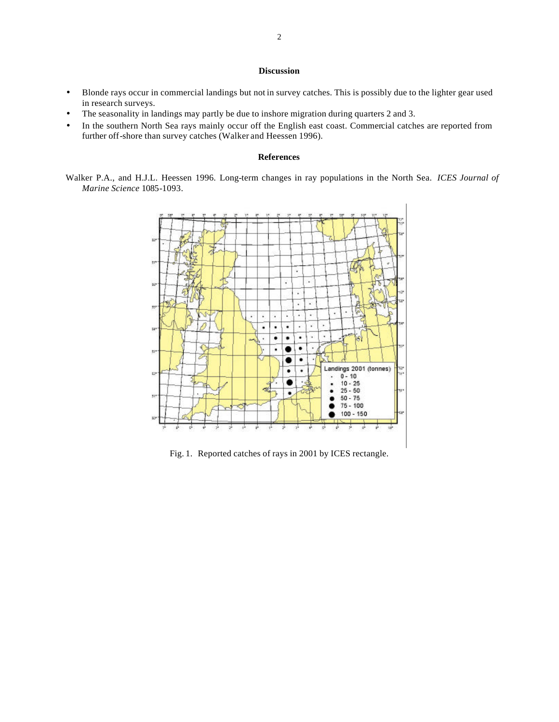## **Discussion**

- Blonde rays occur in commercial landings but not in survey catches. This is possibly due to the lighter gear used in research surveys.
- The seasonality in landings may partly be due to inshore migration during quarters 2 and 3.
- In the southern North Sea rays mainly occur off the English east coast. Commercial catches are reported from further off-shore than survey catches (Walker and Heessen 1996).

#### **References**

Walker P.A., and H.J.L. Heessen 1996. Long-term changes in ray populations in the North Sea. *ICES Journal of Marine Science* 1085-1093.



Fig. 1. Reported catches of rays in 2001 by ICES rectangle.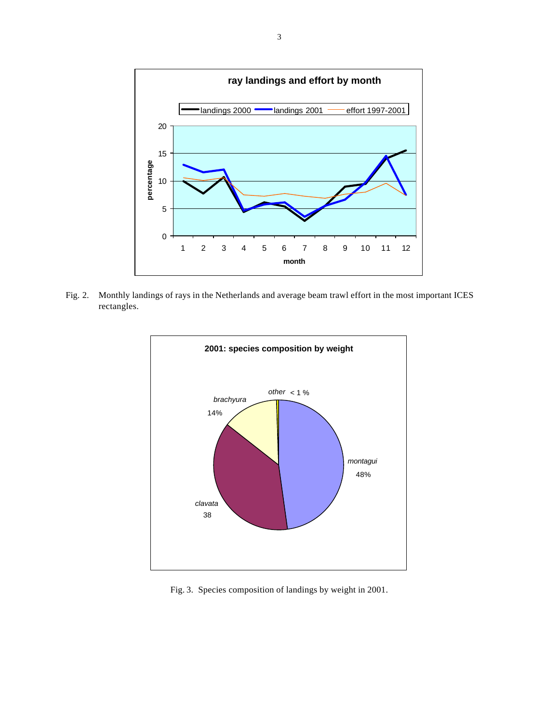

Fig. 2. Monthly landings of rays in the Netherlands and average beam trawl effort in the most important ICES rectangles.



Fig. 3. Species composition of landings by weight in 2001.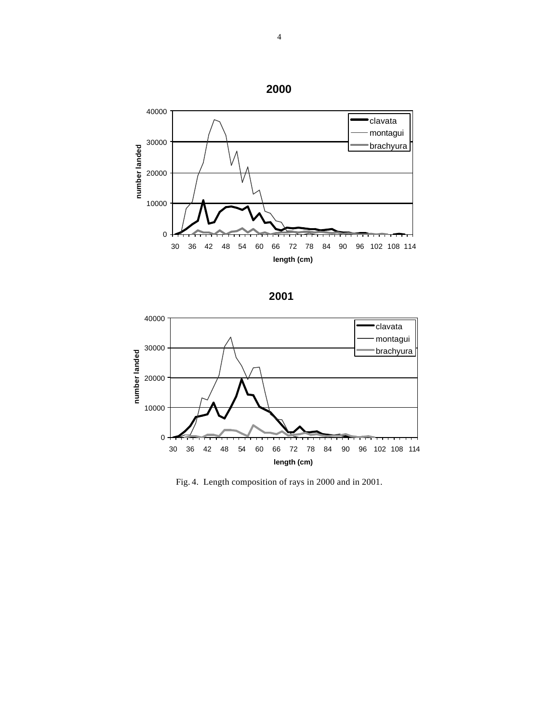





Fig. 4. Length composition of rays in 2000 and in 2001.